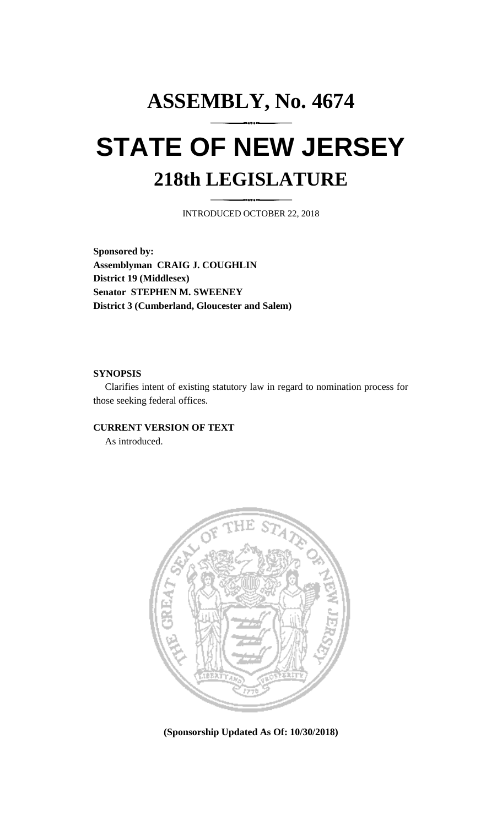## **ASSEMBLY, No. 4674 STATE OF NEW JERSEY 218th LEGISLATURE**

INTRODUCED OCTOBER 22, 2018

**Sponsored by: Assemblyman CRAIG J. COUGHLIN District 19 (Middlesex) Senator STEPHEN M. SWEENEY District 3 (Cumberland, Gloucester and Salem)**

## **SYNOPSIS**

Clarifies intent of existing statutory law in regard to nomination process for those seeking federal offices.

## **CURRENT VERSION OF TEXT**

As introduced.



**(Sponsorship Updated As Of: 10/30/2018)**